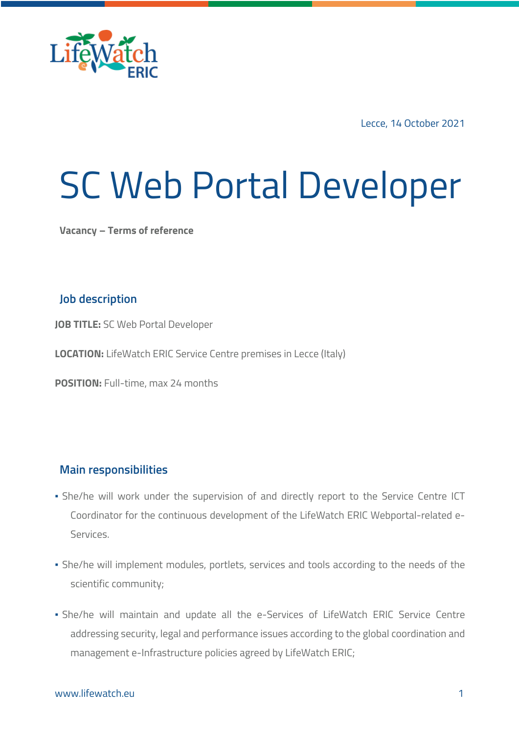

Lecce, 14 October 2021

# SC Web Portal Developer

**Vacancy – Terms of reference**

# **Job description**

**JOB TITLE:** SC Web Portal Developer

**LOCATION:** LifeWatch ERIC Service Centre premises in Lecce (Italy)

**POSITION:** Full-time, max 24 months

### **Main responsibilities**

- **.** She/he will work under the supervision of and directly report to the Service Centre ICT Coordinator for the continuous development of the LifeWatch ERIC Webportal-related e-Services.
- **·** She/he will implement modules, portlets, services and tools according to the needs of the scientific community;
- She/he will maintain and update all the e-Services of LifeWatch ERIC Service Centre addressing security, legal and performance issues according to the global coordination and management e-Infrastructure policies agreed by LifeWatch ERIC;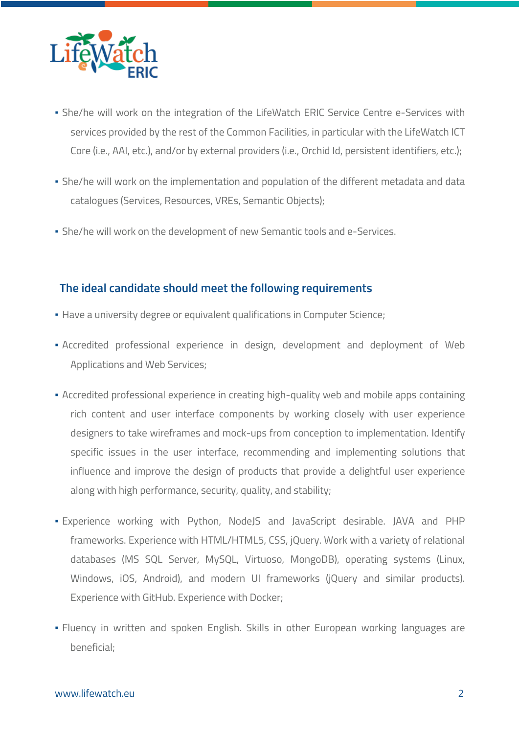

- **.** She/he will work on the integration of the LifeWatch ERIC Service Centre e-Services with services provided by the rest of the Common Facilities, in particular with the LifeWatch ICT Core (i.e., AAI, etc.), and/or by external providers (i.e., Orchid Id, persistent identifiers, etc.);
- She/he will work on the implementation and population of the different metadata and data catalogues (Services, Resources, VREs, Semantic Objects);
- She/he will work on the development of new Semantic tools and e-Services.

# **The ideal candidate should meet the following requirements**

- **Have a university degree or equivalent qualifications in Computer Science;**
- Accredited professional experience in design, development and deployment of Web Applications and Web Services;
- **Accredited professional experience in creating high-quality web and mobile apps containing** rich content and user interface components by working closely with user experience designers to take wireframes and mock-ups from conception to implementation. Identify specific issues in the user interface, recommending and implementing solutions that influence and improve the design of products that provide a delightful user experience along with high performance, security, quality, and stability;
- Experience working with Python, NodeJS and JavaScript desirable. JAVA and PHP frameworks. Experience with HTML/HTML5, CSS, jQuery. Work with a variety of relational databases (MS SQL Server, MySQL, Virtuoso, MongoDB), operating systems (Linux, Windows, iOS, Android), and modern UI frameworks (jQuery and similar products). Experience with GitHub. Experience with Docker;
- Fluency in written and spoken English. Skills in other European working languages are beneficial;